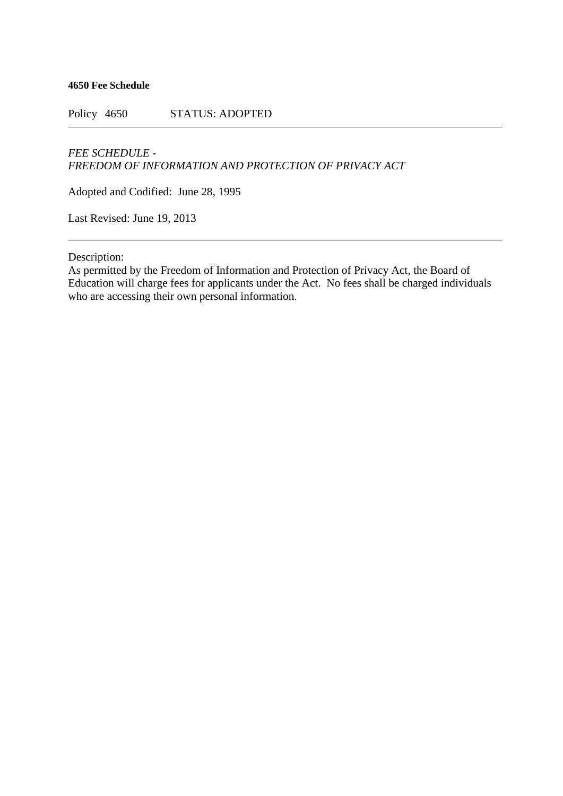**4650 Fee Schedule**

Policy 4650 STATUS: ADOPTED

## *FEE SCHEDULE - FREEDOM OF INFORMATION AND PROTECTION OF PRIVACY ACT*

Adopted and Codified: June 28, 1995

Last Revised: June 19, 2013

Description:

As permitted by the Freedom of Information and Protection of Privacy Act, the Board of Education will charge fees for applicants under the Act. No fees shall be charged individuals who are accessing their own personal information.